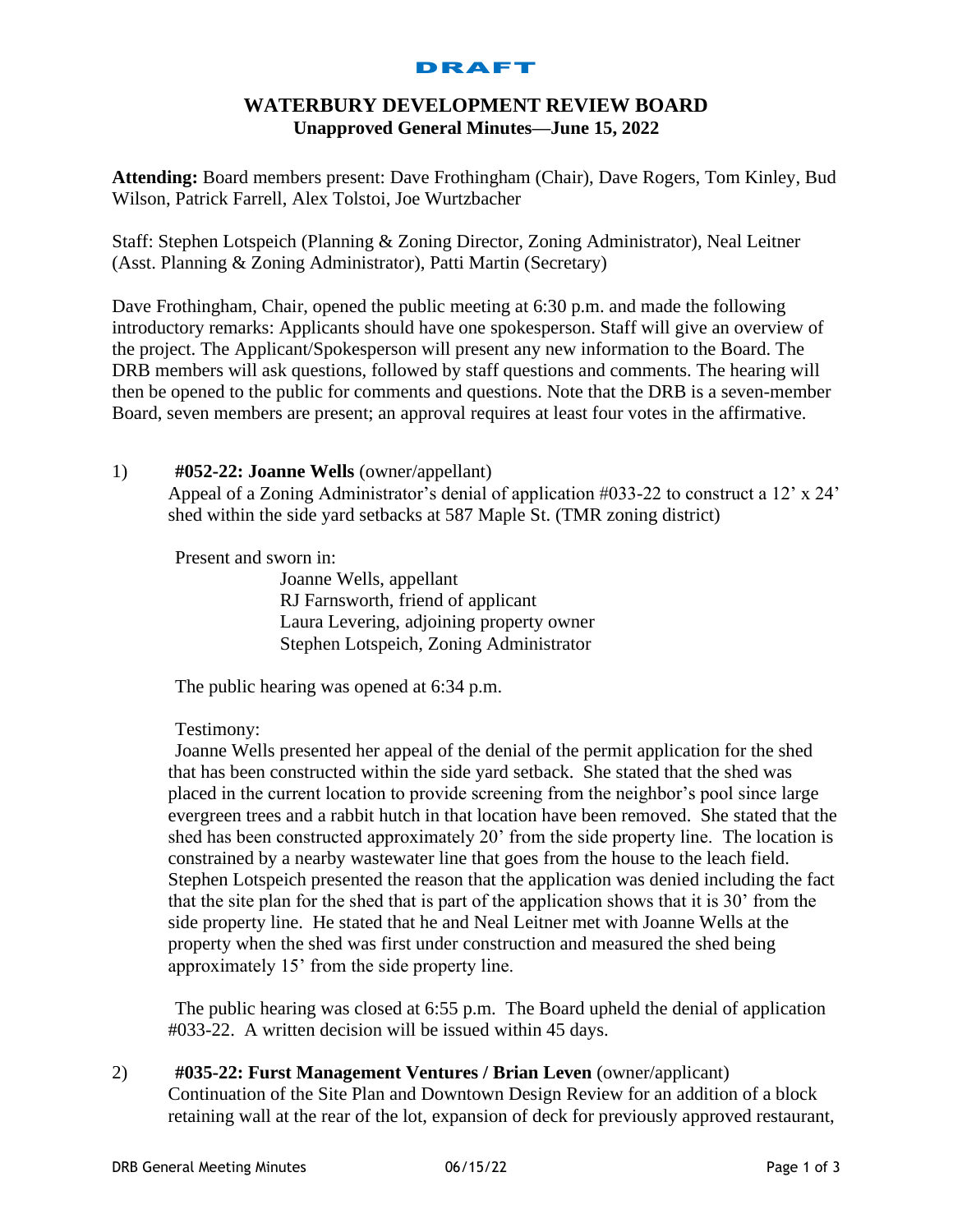#### DRAFT

# **WATERBURY DEVELOPMENT REVIEW BOARD Unapproved General Minutes—June 15, 2022**

**Attending:** Board members present: Dave Frothingham (Chair), Dave Rogers, Tom Kinley, Bud Wilson, Patrick Farrell, Alex Tolstoi, Joe Wurtzbacher

Staff: Stephen Lotspeich (Planning & Zoning Director, Zoning Administrator), Neal Leitner (Asst. Planning & Zoning Administrator), Patti Martin (Secretary)

Dave Frothingham, Chair, opened the public meeting at 6:30 p.m. and made the following introductory remarks: Applicants should have one spokesperson. Staff will give an overview of the project. The Applicant/Spokesperson will present any new information to the Board. The DRB members will ask questions, followed by staff questions and comments. The hearing will then be opened to the public for comments and questions. Note that the DRB is a seven-member Board, seven members are present; an approval requires at least four votes in the affirmative.

## 1) **#052-22: Joanne Wells** (owner/appellant)

Appeal of a Zoning Administrator's denial of application #033-22 to construct a 12' x 24' shed within the side yard setbacks at 587 Maple St. (TMR zoning district)

Present and sworn in:

Joanne Wells, appellant RJ Farnsworth, friend of applicant Laura Levering, adjoining property owner Stephen Lotspeich, Zoning Administrator

The public hearing was opened at 6:34 p.m.

Testimony:

Joanne Wells presented her appeal of the denial of the permit application for the shed that has been constructed within the side yard setback. She stated that the shed was placed in the current location to provide screening from the neighbor's pool since large evergreen trees and a rabbit hutch in that location have been removed. She stated that the shed has been constructed approximately 20' from the side property line. The location is constrained by a nearby wastewater line that goes from the house to the leach field. Stephen Lotspeich presented the reason that the application was denied including the fact that the site plan for the shed that is part of the application shows that it is 30' from the side property line. He stated that he and Neal Leitner met with Joanne Wells at the property when the shed was first under construction and measured the shed being approximately 15' from the side property line.

The public hearing was closed at 6:55 p.m. The Board upheld the denial of application #033-22. A written decision will be issued within 45 days.

2) **#035-22: Furst Management Ventures / Brian Leven** (owner/applicant) Continuation of the Site Plan and Downtown Design Review for an addition of a block retaining wall at the rear of the lot, expansion of deck for previously approved restaurant,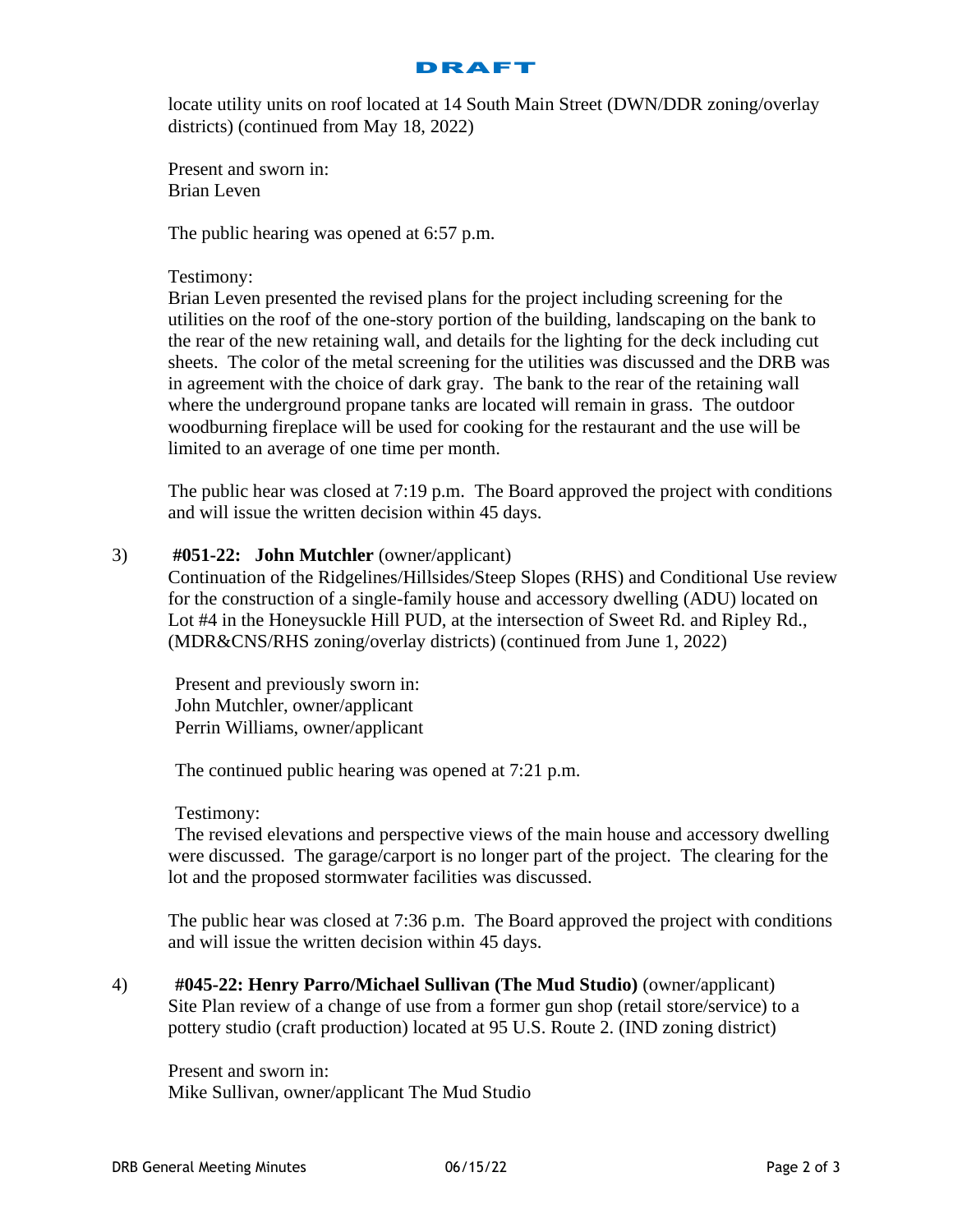

locate utility units on roof located at 14 South Main Street (DWN/DDR zoning/overlay districts) (continued from May 18, 2022)

Present and sworn in: Brian Leven

The public hearing was opened at 6:57 p.m.

### Testimony:

Brian Leven presented the revised plans for the project including screening for the utilities on the roof of the one-story portion of the building, landscaping on the bank to the rear of the new retaining wall, and details for the lighting for the deck including cut sheets. The color of the metal screening for the utilities was discussed and the DRB was in agreement with the choice of dark gray. The bank to the rear of the retaining wall where the underground propane tanks are located will remain in grass. The outdoor woodburning fireplace will be used for cooking for the restaurant and the use will be limited to an average of one time per month.

The public hear was closed at 7:19 p.m. The Board approved the project with conditions and will issue the written decision within 45 days.

### 3) **#051-22: John Mutchler** (owner/applicant)

Continuation of the Ridgelines/Hillsides/Steep Slopes (RHS) and Conditional Use review for the construction of a single-family house and accessory dwelling (ADU) located on Lot #4 in the Honeysuckle Hill PUD, at the intersection of Sweet Rd. and Ripley Rd., (MDR&CNS/RHS zoning/overlay districts) (continued from June 1, 2022)

Present and previously sworn in: John Mutchler, owner/applicant Perrin Williams, owner/applicant

The continued public hearing was opened at 7:21 p.m.

#### Testimony:

The revised elevations and perspective views of the main house and accessory dwelling were discussed. The garage/carport is no longer part of the project. The clearing for the lot and the proposed stormwater facilities was discussed.

The public hear was closed at 7:36 p.m. The Board approved the project with conditions and will issue the written decision within 45 days.

4) **#045-22: Henry Parro/Michael Sullivan (The Mud Studio)** (owner/applicant) Site Plan review of a change of use from a former gun shop (retail store/service) to a pottery studio (craft production) located at 95 U.S. Route 2. (IND zoning district)

Present and sworn in: Mike Sullivan, owner/applicant The Mud Studio